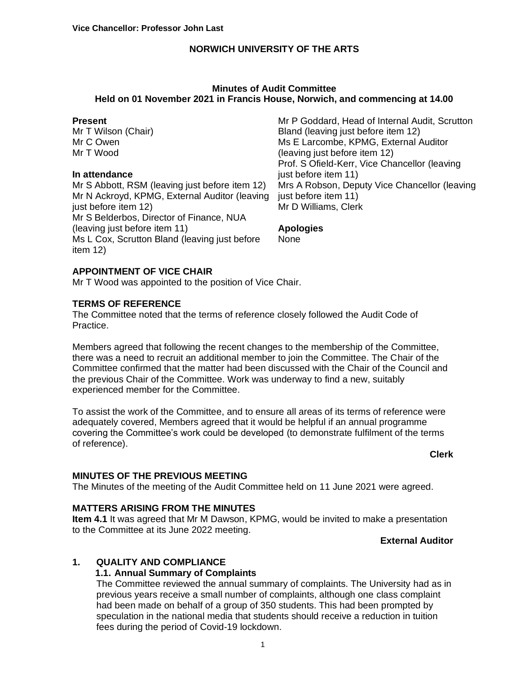#### **Minutes of Audit Committee Held on 01 November 2021 in Francis House, Norwich, and commencing at 14.00**

#### **Present**

Mr T Wilson (Chair) Mr C Owen Mr T Wood

#### **In attendance**

Mr S Abbott, RSM (leaving just before item 12) Mr N Ackroyd, KPMG, External Auditor (leaving just before item 12) Mr S Belderbos, Director of Finance, NUA (leaving just before item 11) Ms L Cox, Scrutton Bland (leaving just before item 12)

Mr P Goddard, Head of Internal Audit, Scrutton Bland (leaving just before item 12) Ms E Larcombe, KPMG, External Auditor (leaving just before item 12) Prof. S Ofield-Kerr, Vice Chancellor (leaving just before item 11) Mrs A Robson, Deputy Vice Chancellor (leaving just before item 11) Mr D Williams, Clerk

# **Apologies**

None

## **APPOINTMENT OF VICE CHAIR**

Mr T Wood was appointed to the position of Vice Chair.

## **TERMS OF REFERENCE**

The Committee noted that the terms of reference closely followed the Audit Code of Practice.

Members agreed that following the recent changes to the membership of the Committee, there was a need to recruit an additional member to join the Committee. The Chair of the Committee confirmed that the matter had been discussed with the Chair of the Council and the previous Chair of the Committee. Work was underway to find a new, suitably experienced member for the Committee.

To assist the work of the Committee, and to ensure all areas of its terms of reference were adequately covered, Members agreed that it would be helpful if an annual programme covering the Committee's work could be developed (to demonstrate fulfilment of the terms of reference).

# **Clerk**

### **MINUTES OF THE PREVIOUS MEETING**

The Minutes of the meeting of the Audit Committee held on 11 June 2021 were agreed.

### **MATTERS ARISING FROM THE MINUTES**

**Item 4.1** It was agreed that Mr M Dawson, KPMG, would be invited to make a presentation to the Committee at its June 2022 meeting.

### **External Auditor**

### **1. QUALITY AND COMPLIANCE**

### **1.1. Annual Summary of Complaints**

The Committee reviewed the annual summary of complaints. The University had as in previous years receive a small number of complaints, although one class complaint had been made on behalf of a group of 350 students. This had been prompted by speculation in the national media that students should receive a reduction in tuition fees during the period of Covid-19 lockdown.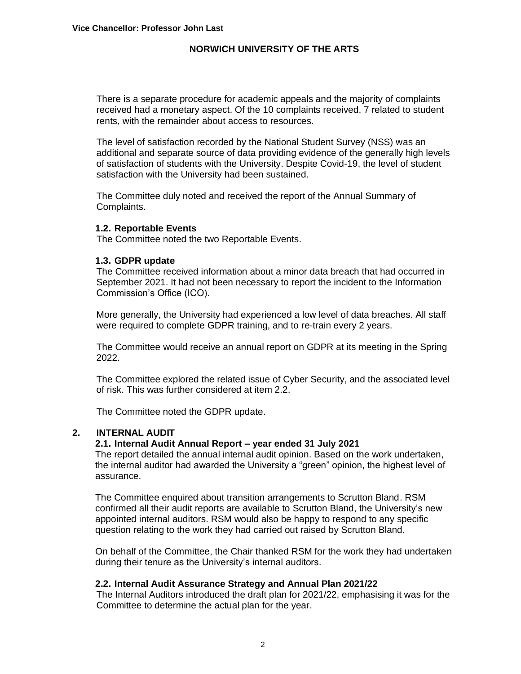There is a separate procedure for academic appeals and the majority of complaints received had a monetary aspect. Of the 10 complaints received, 7 related to student rents, with the remainder about access to resources.

The level of satisfaction recorded by the National Student Survey (NSS) was an additional and separate source of data providing evidence of the generally high levels of satisfaction of students with the University. Despite Covid-19, the level of student satisfaction with the University had been sustained.

The Committee duly noted and received the report of the Annual Summary of Complaints.

#### **1.2. Reportable Events**

The Committee noted the two Reportable Events.

#### **1.3. GDPR update**

The Committee received information about a minor data breach that had occurred in September 2021. It had not been necessary to report the incident to the Information Commission's Office (ICO).

More generally, the University had experienced a low level of data breaches. All staff were required to complete GDPR training, and to re-train every 2 years.

The Committee would receive an annual report on GDPR at its meeting in the Spring 2022.

The Committee explored the related issue of Cyber Security, and the associated level of risk. This was further considered at item 2.2.

The Committee noted the GDPR update.

#### **2. INTERNAL AUDIT**

#### **2.1. Internal Audit Annual Report – year ended 31 July 2021**

The report detailed the annual internal audit opinion. Based on the work undertaken, the internal auditor had awarded the University a "green" opinion, the highest level of assurance.

The Committee enquired about transition arrangements to Scrutton Bland. RSM confirmed all their audit reports are available to Scrutton Bland, the University's new appointed internal auditors. RSM would also be happy to respond to any specific question relating to the work they had carried out raised by Scrutton Bland.

On behalf of the Committee, the Chair thanked RSM for the work they had undertaken during their tenure as the University's internal auditors.

#### **2.2. Internal Audit Assurance Strategy and Annual Plan 2021/22**

The Internal Auditors introduced the draft plan for 2021/22, emphasising it was for the Committee to determine the actual plan for the year.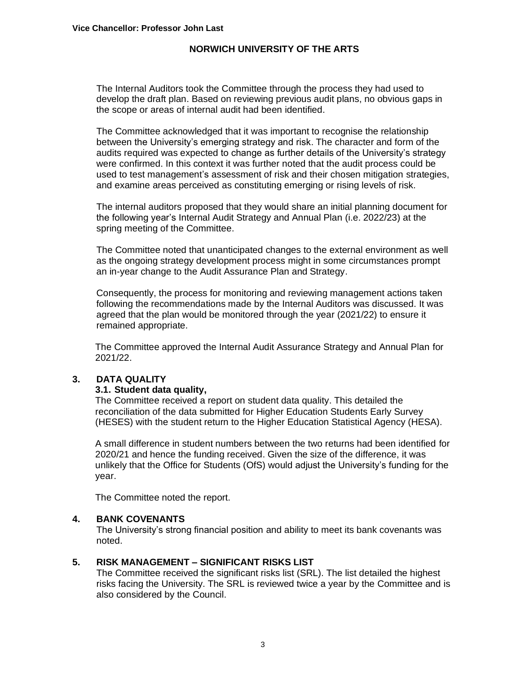The Internal Auditors took the Committee through the process they had used to develop the draft plan. Based on reviewing previous audit plans, no obvious gaps in the scope or areas of internal audit had been identified.

The Committee acknowledged that it was important to recognise the relationship between the University's emerging strategy and risk. The character and form of the audits required was expected to change as further details of the University's strategy were confirmed. In this context it was further noted that the audit process could be used to test management's assessment of risk and their chosen mitigation strategies, and examine areas perceived as constituting emerging or rising levels of risk.

The internal auditors proposed that they would share an initial planning document for the following year's Internal Audit Strategy and Annual Plan (i.e. 2022/23) at the spring meeting of the Committee.

The Committee noted that unanticipated changes to the external environment as well as the ongoing strategy development process might in some circumstances prompt an in-year change to the Audit Assurance Plan and Strategy.

Consequently, the process for monitoring and reviewing management actions taken following the recommendations made by the Internal Auditors was discussed. It was agreed that the plan would be monitored through the year (2021/22) to ensure it remained appropriate.

The Committee approved the Internal Audit Assurance Strategy and Annual Plan for 2021/22.

## **3. DATA QUALITY**

#### **3.1. Student data quality,**

The Committee received a report on student data quality. This detailed the reconciliation of the data submitted for Higher Education Students Early Survey (HESES) with the student return to the Higher Education Statistical Agency (HESA).

A small difference in student numbers between the two returns had been identified for 2020/21 and hence the funding received. Given the size of the difference, it was unlikely that the Office for Students (OfS) would adjust the University's funding for the year.

The Committee noted the report.

### **4. BANK COVENANTS**

The University's strong financial position and ability to meet its bank covenants was noted.

#### **5. RISK MANAGEMENT – SIGNIFICANT RISKS LIST**

The Committee received the significant risks list (SRL). The list detailed the highest risks facing the University. The SRL is reviewed twice a year by the Committee and is also considered by the Council.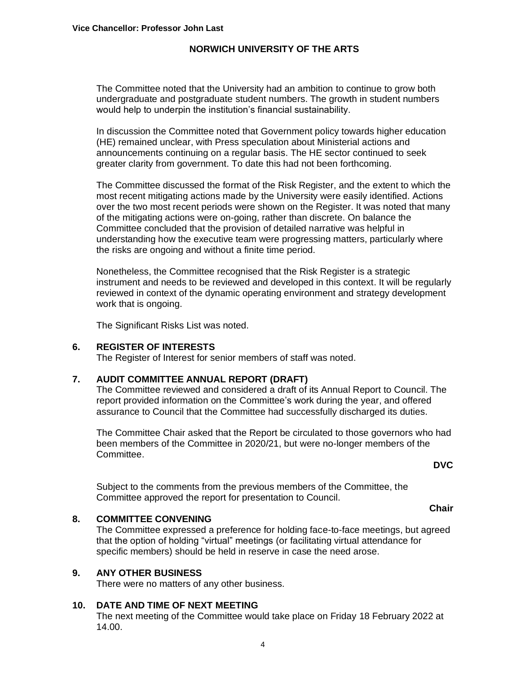The Committee noted that the University had an ambition to continue to grow both undergraduate and postgraduate student numbers. The growth in student numbers would help to underpin the institution's financial sustainability.

In discussion the Committee noted that Government policy towards higher education (HE) remained unclear, with Press speculation about Ministerial actions and announcements continuing on a regular basis. The HE sector continued to seek greater clarity from government. To date this had not been forthcoming.

The Committee discussed the format of the Risk Register, and the extent to which the most recent mitigating actions made by the University were easily identified. Actions over the two most recent periods were shown on the Register. It was noted that many of the mitigating actions were on-going, rather than discrete. On balance the Committee concluded that the provision of detailed narrative was helpful in understanding how the executive team were progressing matters, particularly where the risks are ongoing and without a finite time period.

Nonetheless, the Committee recognised that the Risk Register is a strategic instrument and needs to be reviewed and developed in this context. It will be regularly reviewed in context of the dynamic operating environment and strategy development work that is ongoing.

The Significant Risks List was noted.

#### **6. REGISTER OF INTERESTS**

The Register of Interest for senior members of staff was noted.

#### **7. AUDIT COMMITTEE ANNUAL REPORT (DRAFT)**

The Committee reviewed and considered a draft of its Annual Report to Council. The report provided information on the Committee's work during the year, and offered assurance to Council that the Committee had successfully discharged its duties.

The Committee Chair asked that the Report be circulated to those governors who had been members of the Committee in 2020/21, but were no-longer members of the Committee.

**DVC**

**Chair**

Subject to the comments from the previous members of the Committee, the Committee approved the report for presentation to Council.

#### **8. COMMITTEE CONVENING**

The Committee expressed a preference for holding face-to-face meetings, but agreed that the option of holding "virtual" meetings (or facilitating virtual attendance for specific members) should be held in reserve in case the need arose.

#### **9. ANY OTHER BUSINESS**

There were no matters of any other business.

#### **10. DATE AND TIME OF NEXT MEETING**

The next meeting of the Committee would take place on Friday 18 February 2022 at 14.00.